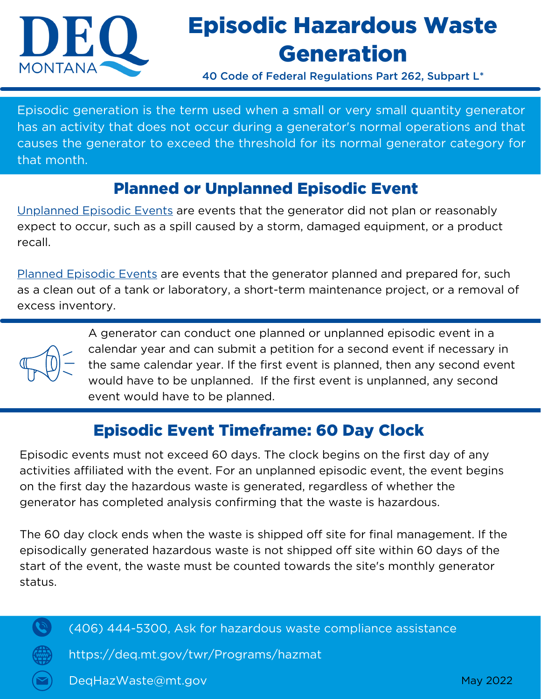

## Episodic Hazardous Waste Generation

40 Code of Federal Regulations Part 262, Subpart L\*

Episodic generation is the term used when a small or very small quantity generator has an activity that does not occur during a generator's normal operations and that causes the generator to exceed the threshold for its normal generator category for that month.

## Planned or Unplanned Episodic Event

Unplanned Episodic Events are events that the generator did not plan or reasonably expect to occur, such as a spill caused by a storm, damaged equipment, or a product recall.

Planned Episodic Events are events that the generator planned and prepared for, such as a clean out of a tank or laboratory, a short-term maintenance project, or a removal of excess inventory.



A generator can conduct one planned or unplanned episodic event in a calendar year and can submit a petition for a second event if necessary in the same calendar year. If the first event is planned, then any second event would have to be unplanned. If the first event is unplanned, any second event would have to be planned.

## Episodic Event Timeframe: 60 Day Clock

Episodic events must not exceed 60 days. The clock begins on the first day of any activities affiliated with the event. For an unplanned episodic event, the event begins on the first day the hazardous waste is generated, regardless of whether the generator has completed analysis confirming that the waste is hazardous.

The 60 day clock ends when the waste is shipped off site for final management. If the episodically generated hazardous waste is not shipped off site within 60 days of the start of the event, the waste must be counted towards the site's monthly generator status.



(406) 444-5300, Ask for hazardous waste compliance assistance

https://deq.mt.gov/twr/Programs/hazmat

DeqHazWaste@mt.gov May 2022